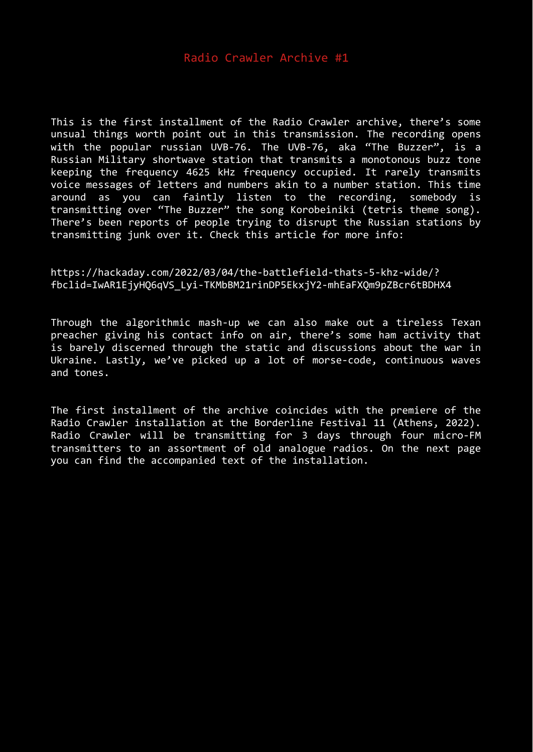This is the first installment of the Radio Crawler archive, there's some unsual things worth point out in this transmission. The recording opens with the popular russian UVB-76. The UVB-76, aka "The Buzzer", is a Russian Military shortwave station that transmits a monotonous buzz tone keeping the frequency 4625 kHz frequency occupied. It rarely transmits voice messages of letters and numbers akin to a number station. This time around as you can faintly listen to the recording, somebody is transmitting over "The Buzzer" the song Korobeiniki (tetris theme song). There's been reports of people trying to disrupt the Russian stations by transmitting junk over it. Check this article for more info:

## https://hackaday.com/2022/03/04/the-battlefield-thats-5-khz-wide/? fbclid=IwAR1EjyHQ6qVS\_Lyi-TKMbBM21rinDP5EkxjY2-mhEaFXQm9pZBcr6tBDHX4

Through the algorithmic mash-up we can also make out a tireless Texan preacher giving his contact info on air, there's some ham activity that is barely discerned through the static and discussions about the war in Ukraine. Lastly, we've picked up a lot of morse-code, continuous waves and tones.

The first installment of the archive coincides with the premiere of the Radio Crawler installation at the Borderline Festival 11 (Athens, 2022). Radio Crawler will be transmitting for 3 days through four micro-FM transmitters to an assortment of old analogue radios. On the next page you can find the accompanied text of the installation.